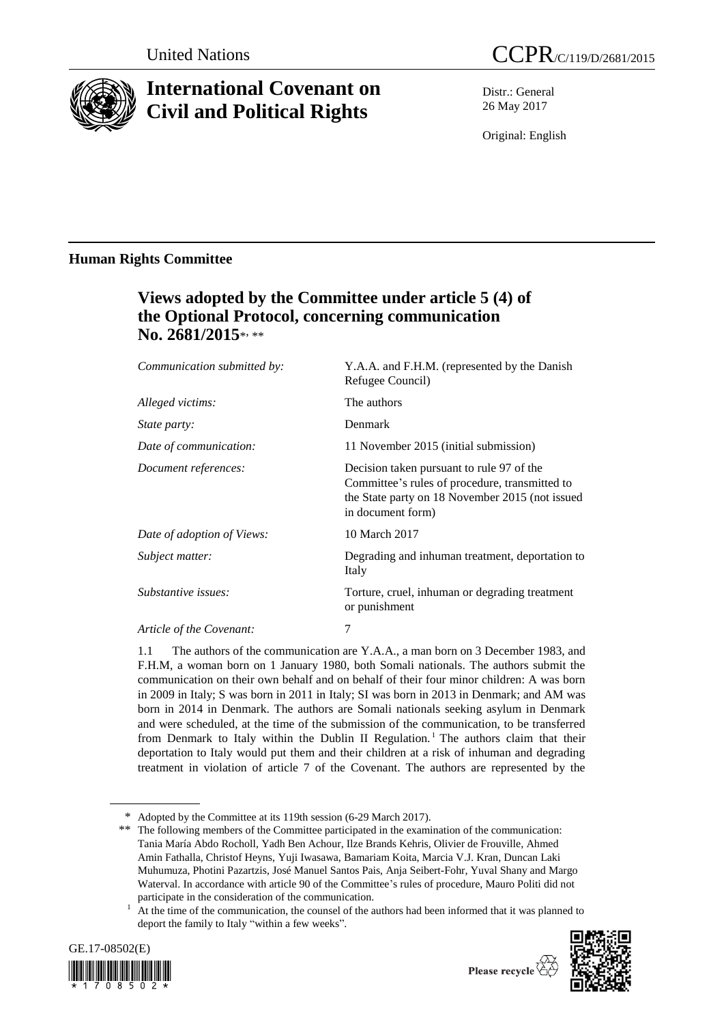

# **International Covenant on Civil and Political Rights**

Distr.: General 26 May 2017

Original: English

### **Human Rights Committee**

## **Views adopted by the Committee under article 5 (4) of the Optional Protocol, concerning communication**  No. 2681/2015\*<sub>\*\*</sub>\*

| Y.A.A. and F.H.M. (represented by the Danish<br>Refugee Council)                                                                                                    |
|---------------------------------------------------------------------------------------------------------------------------------------------------------------------|
| The authors                                                                                                                                                         |
| Denmark                                                                                                                                                             |
| 11 November 2015 (initial submission)                                                                                                                               |
| Decision taken pursuant to rule 97 of the<br>Committee's rules of procedure, transmitted to<br>the State party on 18 November 2015 (not issued<br>in document form) |
| 10 March 2017                                                                                                                                                       |
| Degrading and inhuman treatment, deportation to<br>Italy                                                                                                            |
| Torture, cruel, inhuman or degrading treatment<br>or punishment                                                                                                     |
| 7                                                                                                                                                                   |
|                                                                                                                                                                     |

1.1 The authors of the communication are Y.A.A., a man born on 3 December 1983, and F.H.M, a woman born on 1 January 1980, both Somali nationals. The authors submit the communication on their own behalf and on behalf of their four minor children: A was born in 2009 in Italy; S was born in 2011 in Italy; SI was born in 2013 in Denmark; and AM was born in 2014 in Denmark. The authors are Somali nationals seeking asylum in Denmark and were scheduled, at the time of the submission of the communication, to be transferred from Denmark to Italy within the Dublin II Regulation.<sup>1</sup> The authors claim that their deportation to Italy would put them and their children at a risk of inhuman and degrading treatment in violation of article 7 of the Covenant. The authors are represented by the

<sup>&</sup>lt;sup>1</sup> At the time of the communication, the counsel of the authors had been informed that it was planned to deport the family to Italy "within a few weeks".





<sup>\*</sup> Adopted by the Committee at its 119th session (6-29 March 2017).

<sup>\*\*</sup> The following members of the Committee participated in the examination of the communication: Tania María Abdo Rocholl, Yadh Ben Achour, Ilze Brands Kehris, Olivier de Frouville, Ahmed Amin Fathalla, Christof Heyns, Yuji Iwasawa, Bamariam Koita, Marcia V.J. Kran, Duncan Laki Muhumuza, Photini Pazartzis, José Manuel Santos Pais, Anja Seibert-Fohr, Yuval Shany and Margo Waterval. In accordance with article 90 of the Committee's rules of procedure, Mauro Politi did not participate in the consideration of the communication.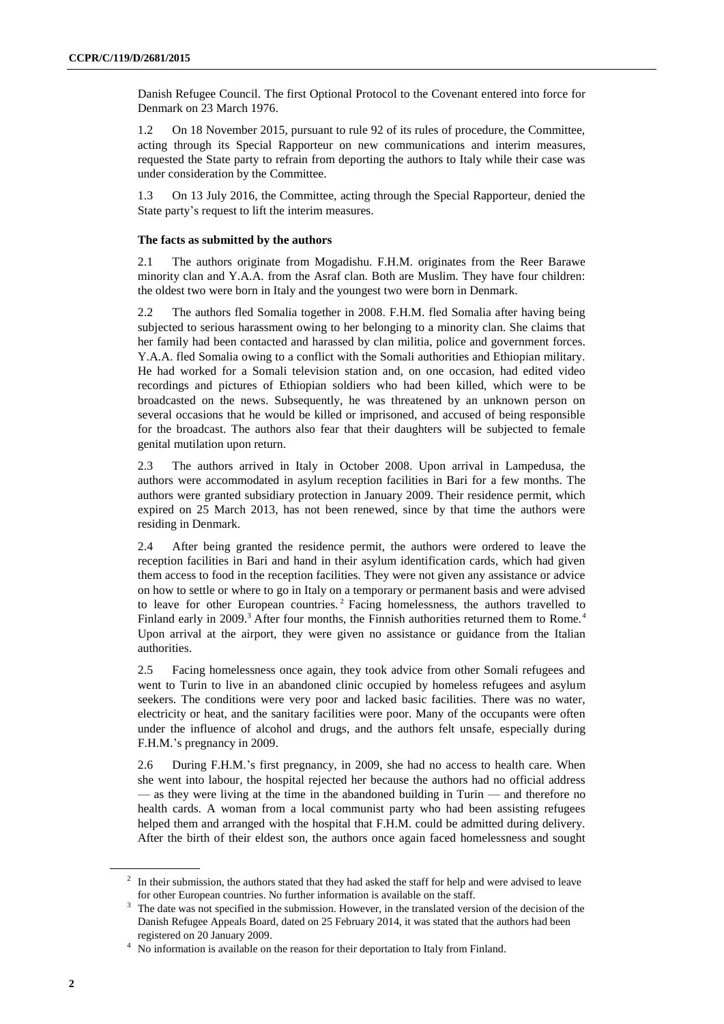Danish Refugee Council. The first Optional Protocol to the Covenant entered into force for Denmark on 23 March 1976.

1.2 On 18 November 2015, pursuant to rule 92 of its rules of procedure, the Committee, acting through its Special Rapporteur on new communications and interim measures, requested the State party to refrain from deporting the authors to Italy while their case was under consideration by the Committee.

1.3 On 13 July 2016, the Committee, acting through the Special Rapporteur, denied the State party's request to lift the interim measures.

#### **The facts as submitted by the authors**

2.1 The authors originate from Mogadishu. F.H.M. originates from the Reer Barawe minority clan and Y.A.A. from the Asraf clan. Both are Muslim. They have four children: the oldest two were born in Italy and the youngest two were born in Denmark.

2.2 The authors fled Somalia together in 2008. F.H.M. fled Somalia after having being subjected to serious harassment owing to her belonging to a minority clan. She claims that her family had been contacted and harassed by clan militia, police and government forces. Y.A.A. fled Somalia owing to a conflict with the Somali authorities and Ethiopian military. He had worked for a Somali television station and, on one occasion, had edited video recordings and pictures of Ethiopian soldiers who had been killed, which were to be broadcasted on the news. Subsequently, he was threatened by an unknown person on several occasions that he would be killed or imprisoned, and accused of being responsible for the broadcast. The authors also fear that their daughters will be subjected to female genital mutilation upon return.

2.3 The authors arrived in Italy in October 2008. Upon arrival in Lampedusa, the authors were accommodated in asylum reception facilities in Bari for a few months. The authors were granted subsidiary protection in January 2009. Their residence permit, which expired on 25 March 2013, has not been renewed, since by that time the authors were residing in Denmark.

2.4 After being granted the residence permit, the authors were ordered to leave the reception facilities in Bari and hand in their asylum identification cards, which had given them access to food in the reception facilities. They were not given any assistance or advice on how to settle or where to go in Italy on a temporary or permanent basis and were advised to leave for other European countries.<sup>2</sup> Facing homelessness, the authors travelled to Finland early in 2009.<sup>3</sup> After four months, the Finnish authorities returned them to Rome.<sup>4</sup> Upon arrival at the airport, they were given no assistance or guidance from the Italian authorities.

2.5 Facing homelessness once again, they took advice from other Somali refugees and went to Turin to live in an abandoned clinic occupied by homeless refugees and asylum seekers. The conditions were very poor and lacked basic facilities. There was no water, electricity or heat, and the sanitary facilities were poor. Many of the occupants were often under the influence of alcohol and drugs, and the authors felt unsafe, especially during F.H.M.'s pregnancy in 2009.

2.6 During F.H.M.'s first pregnancy, in 2009, she had no access to health care. When she went into labour, the hospital rejected her because the authors had no official address — as they were living at the time in the abandoned building in Turin — and therefore no health cards. A woman from a local communist party who had been assisting refugees helped them and arranged with the hospital that F.H.M. could be admitted during delivery. After the birth of their eldest son, the authors once again faced homelessness and sought

 $2\;\;$  In their submission, the authors stated that they had asked the staff for help and were advised to leave for other European countries. No further information is available on the staff.

<sup>&</sup>lt;sup>3</sup> The date was not specified in the submission. However, in the translated version of the decision of the Danish Refugee Appeals Board, dated on 25 February 2014, it was stated that the authors had been registered on 20 January 2009.

<sup>4</sup> No information is available on the reason for their deportation to Italy from Finland.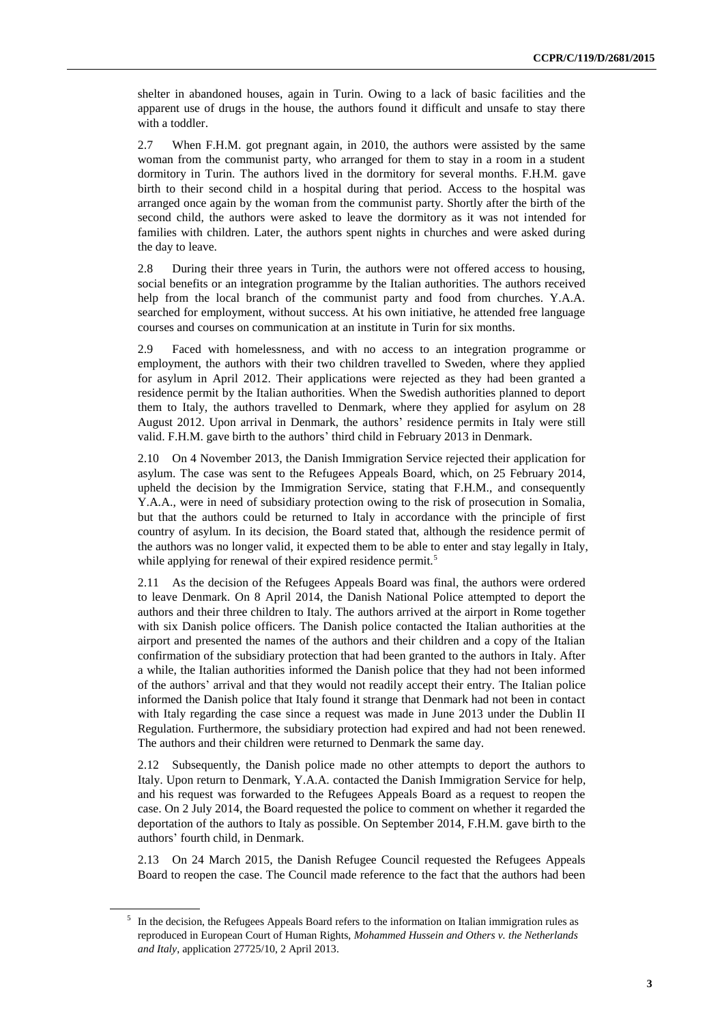shelter in abandoned houses, again in Turin. Owing to a lack of basic facilities and the apparent use of drugs in the house, the authors found it difficult and unsafe to stay there with a toddler.

2.7 When F.H.M. got pregnant again, in 2010, the authors were assisted by the same woman from the communist party, who arranged for them to stay in a room in a student dormitory in Turin. The authors lived in the dormitory for several months. F.H.M. gave birth to their second child in a hospital during that period. Access to the hospital was arranged once again by the woman from the communist party. Shortly after the birth of the second child, the authors were asked to leave the dormitory as it was not intended for families with children. Later, the authors spent nights in churches and were asked during the day to leave.

2.8 During their three years in Turin, the authors were not offered access to housing, social benefits or an integration programme by the Italian authorities. The authors received help from the local branch of the communist party and food from churches. Y.A.A. searched for employment, without success. At his own initiative, he attended free language courses and courses on communication at an institute in Turin for six months.

2.9 Faced with homelessness, and with no access to an integration programme or employment, the authors with their two children travelled to Sweden, where they applied for asylum in April 2012. Their applications were rejected as they had been granted a residence permit by the Italian authorities. When the Swedish authorities planned to deport them to Italy, the authors travelled to Denmark, where they applied for asylum on 28 August 2012. Upon arrival in Denmark, the authors' residence permits in Italy were still valid. F.H.M. gave birth to the authors' third child in February 2013 in Denmark.

2.10 On 4 November 2013, the Danish Immigration Service rejected their application for asylum. The case was sent to the Refugees Appeals Board, which, on 25 February 2014, upheld the decision by the Immigration Service, stating that F.H.M., and consequently Y.A.A., were in need of subsidiary protection owing to the risk of prosecution in Somalia, but that the authors could be returned to Italy in accordance with the principle of first country of asylum. In its decision, the Board stated that, although the residence permit of the authors was no longer valid, it expected them to be able to enter and stay legally in Italy, while applying for renewal of their expired residence permit.<sup>5</sup>

2.11 As the decision of the Refugees Appeals Board was final, the authors were ordered to leave Denmark. On 8 April 2014, the Danish National Police attempted to deport the authors and their three children to Italy. The authors arrived at the airport in Rome together with six Danish police officers. The Danish police contacted the Italian authorities at the airport and presented the names of the authors and their children and a copy of the Italian confirmation of the subsidiary protection that had been granted to the authors in Italy. After a while, the Italian authorities informed the Danish police that they had not been informed of the authors' arrival and that they would not readily accept their entry. The Italian police informed the Danish police that Italy found it strange that Denmark had not been in contact with Italy regarding the case since a request was made in June 2013 under the Dublin II Regulation. Furthermore, the subsidiary protection had expired and had not been renewed. The authors and their children were returned to Denmark the same day.

2.12 Subsequently, the Danish police made no other attempts to deport the authors to Italy. Upon return to Denmark, Y.A.A. contacted the Danish Immigration Service for help, and his request was forwarded to the Refugees Appeals Board as a request to reopen the case. On 2 July 2014, the Board requested the police to comment on whether it regarded the deportation of the authors to Italy as possible. On September 2014, F.H.M. gave birth to the authors' fourth child, in Denmark.

2.13 On 24 March 2015, the Danish Refugee Council requested the Refugees Appeals Board to reopen the case. The Council made reference to the fact that the authors had been

<sup>&</sup>lt;sup>5</sup> In the decision, the Refugees Appeals Board refers to the information on Italian immigration rules as reproduced in European Court of Human Rights, *Mohammed Hussein and Others v. the Netherlands and Italy*, application 27725/10, 2 April 2013.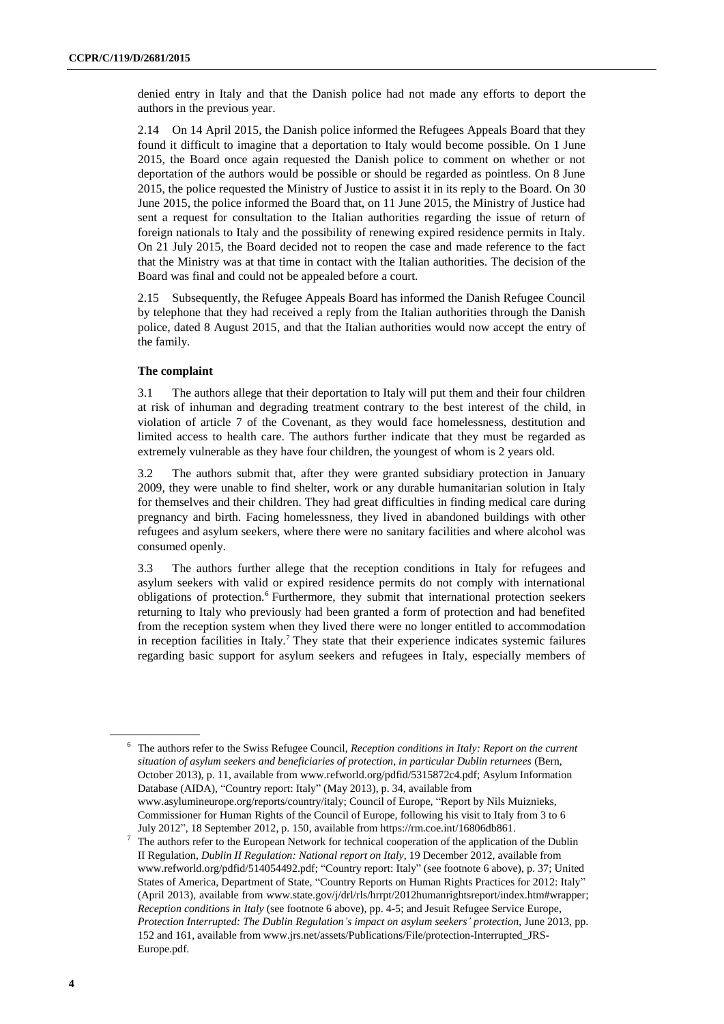denied entry in Italy and that the Danish police had not made any efforts to deport the authors in the previous year.

2.14 On 14 April 2015, the Danish police informed the Refugees Appeals Board that they found it difficult to imagine that a deportation to Italy would become possible. On 1 June 2015, the Board once again requested the Danish police to comment on whether or not deportation of the authors would be possible or should be regarded as pointless. On 8 June 2015, the police requested the Ministry of Justice to assist it in its reply to the Board. On 30 June 2015, the police informed the Board that, on 11 June 2015, the Ministry of Justice had sent a request for consultation to the Italian authorities regarding the issue of return of foreign nationals to Italy and the possibility of renewing expired residence permits in Italy. On 21 July 2015, the Board decided not to reopen the case and made reference to the fact that the Ministry was at that time in contact with the Italian authorities. The decision of the Board was final and could not be appealed before a court.

2.15 Subsequently, the Refugee Appeals Board has informed the Danish Refugee Council by telephone that they had received a reply from the Italian authorities through the Danish police, dated 8 August 2015, and that the Italian authorities would now accept the entry of the family.

### **The complaint**

3.1 The authors allege that their deportation to Italy will put them and their four children at risk of inhuman and degrading treatment contrary to the best interest of the child, in violation of article 7 of the Covenant, as they would face homelessness, destitution and limited access to health care. The authors further indicate that they must be regarded as extremely vulnerable as they have four children, the youngest of whom is 2 years old.

3.2 The authors submit that, after they were granted subsidiary protection in January 2009, they were unable to find shelter, work or any durable humanitarian solution in Italy for themselves and their children. They had great difficulties in finding medical care during pregnancy and birth. Facing homelessness, they lived in abandoned buildings with other refugees and asylum seekers, where there were no sanitary facilities and where alcohol was consumed openly.

3.3 The authors further allege that the reception conditions in Italy for refugees and asylum seekers with valid or expired residence permits do not comply with international obligations of protection.<sup>6</sup> Furthermore, they submit that international protection seekers returning to Italy who previously had been granted a form of protection and had benefited from the reception system when they lived there were no longer entitled to accommodation in reception facilities in Italy.<sup>7</sup> They state that their experience indicates systemic failures regarding basic support for asylum seekers and refugees in Italy, especially members of

<sup>6</sup> The authors refer to the Swiss Refugee Council, *Reception conditions in Italy: Report on the current situation of asylum seekers and beneficiaries of protection, in particular Dublin returnees* (Bern, October 2013), p. 11, available from www.refworld.org/pdfid/5315872c4.pdf; Asylum Information Database (AIDA), "Country report: Italy" (May 2013), p. 34, available from www.asylumineurope.org/reports/country/italy; Council of Europe, "Report by Nils Muiznieks, Commissioner for Human Rights of the Council of Europe, following his visit to Italy from 3 to 6

July 2012", 18 September 2012, p. 150, available from [https://rm.coe.int/16806db861.](https://rm.coe.int/16806db861) <sup>7</sup> The authors refer to the European Network for technical cooperation of the application of the Dublin II Regulation, *Dublin II Regulation: National report on Italy*, 19 December 2012, available from www.refworld.org/pdfid/514054492.pdf; "Country report: Italy" (see footnote 6 above), p. 37; United States of America, Department of State, "Country Reports on Human Rights Practices for 2012: Italy" (April 2013), available from www.state.gov/j/drl/rls/hrrpt/2012humanrightsreport/index.htm#wrapper; *Reception conditions in Italy* (see footnote 6 above), pp. 4-5; and Jesuit Refugee Service Europe, *Protection Interrupted: The Dublin Regulation's impact on asylum seekers' protection*, June 2013, pp. 152 and 161, available from www.jrs.net/assets/Publications/File/protection-Interrupted\_JRS-Europe.pdf.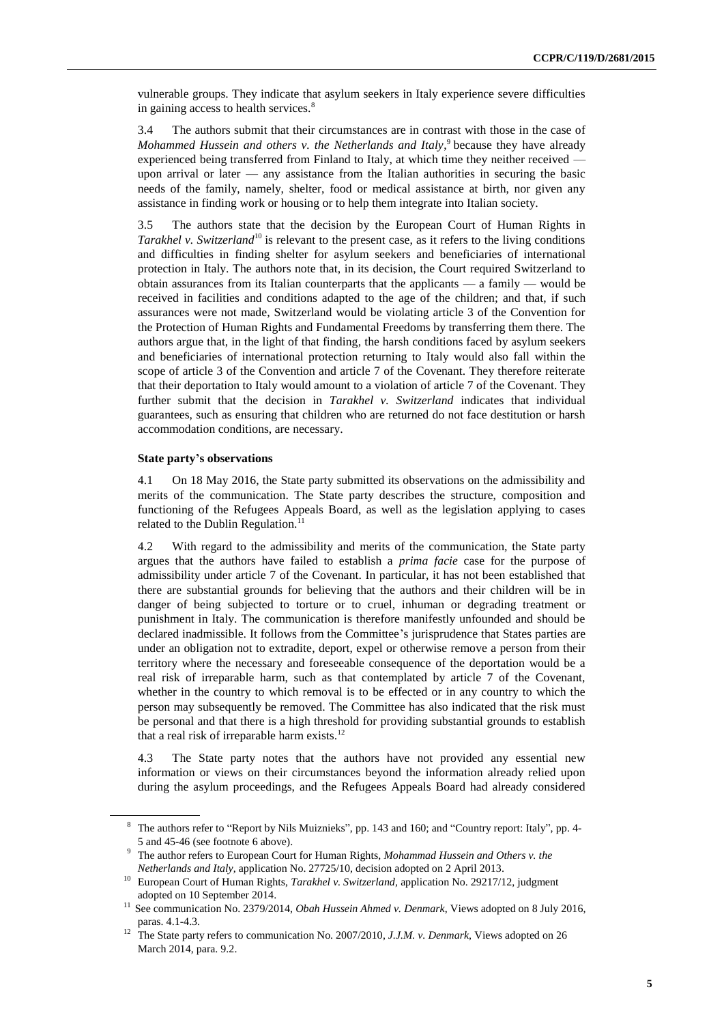vulnerable groups. They indicate that asylum seekers in Italy experience severe difficulties in gaining access to health services.<sup>8</sup>

3.4 The authors submit that their circumstances are in contrast with those in the case of Mohammed Hussein and others v. the Netherlands and Italy,<sup>9</sup> because they have already experienced being transferred from Finland to Italy, at which time they neither received upon arrival or later — any assistance from the Italian authorities in securing the basic needs of the family, namely, shelter, food or medical assistance at birth, nor given any assistance in finding work or housing or to help them integrate into Italian society.

3.5 The authors state that the decision by the European Court of Human Rights in *Tarakhel v. Switzerland*<sup>10</sup> is relevant to the present case, as it refers to the living conditions and difficulties in finding shelter for asylum seekers and beneficiaries of international protection in Italy. The authors note that, in its decision, the Court required Switzerland to obtain assurances from its Italian counterparts that the applicants — a family — would be received in facilities and conditions adapted to the age of the children; and that, if such assurances were not made, Switzerland would be violating article 3 of the Convention for the Protection of Human Rights and Fundamental Freedoms by transferring them there. The authors argue that, in the light of that finding, the harsh conditions faced by asylum seekers and beneficiaries of international protection returning to Italy would also fall within the scope of article 3 of the Convention and article 7 of the Covenant. They therefore reiterate that their deportation to Italy would amount to a violation of article 7 of the Covenant. They further submit that the decision in *Tarakhel v. Switzerland* indicates that individual guarantees, such as ensuring that children who are returned do not face destitution or harsh accommodation conditions, are necessary.

#### **State party's observations**

4.1 On 18 May 2016, the State party submitted its observations on the admissibility and merits of the communication. The State party describes the structure, composition and functioning of the Refugees Appeals Board, as well as the legislation applying to cases related to the Dublin Regulation.<sup>11</sup>

4.2 With regard to the admissibility and merits of the communication, the State party argues that the authors have failed to establish a *prima facie* case for the purpose of admissibility under article 7 of the Covenant. In particular, it has not been established that there are substantial grounds for believing that the authors and their children will be in danger of being subjected to torture or to cruel, inhuman or degrading treatment or punishment in Italy. The communication is therefore manifestly unfounded and should be declared inadmissible. It follows from the Committee's jurisprudence that States parties are under an obligation not to extradite, deport, expel or otherwise remove a person from their territory where the necessary and foreseeable consequence of the deportation would be a real risk of irreparable harm, such as that contemplated by article 7 of the Covenant, whether in the country to which removal is to be effected or in any country to which the person may subsequently be removed. The Committee has also indicated that the risk must be personal and that there is a high threshold for providing substantial grounds to establish that a real risk of irreparable harm exists.<sup>12</sup>

4.3 The State party notes that the authors have not provided any essential new information or views on their circumstances beyond the information already relied upon during the asylum proceedings, and the Refugees Appeals Board had already considered

<sup>8</sup> The authors refer to "Report by Nils Muiznieks", pp. 143 and 160; and "Country report: Italy", pp. 4- 5 and 45-46 (see footnote 6 above).

<sup>9</sup> The author refers to European Court for Human Rights, *Mohammad Hussein and Others v. the Netherlands and Italy*, application No. 27725/10, decision adopted on 2 April 2013.

<sup>&</sup>lt;sup>10</sup> European Court of Human Rights, *Tarakhel v. Switzerland*, application No. 29217/12, judgment adopted on 10 September 2014.

<sup>&</sup>lt;sup>11</sup> See communication No. 2379/2014, *Obah Hussein Ahmed v. Denmark*, Views adopted on 8 July 2016, paras. 4.1-4.3.

<sup>12</sup> The State party refers to communication No. 2007/2010, *J.J.M. v. Denmark*, Views adopted on 26 March 2014, para. 9.2.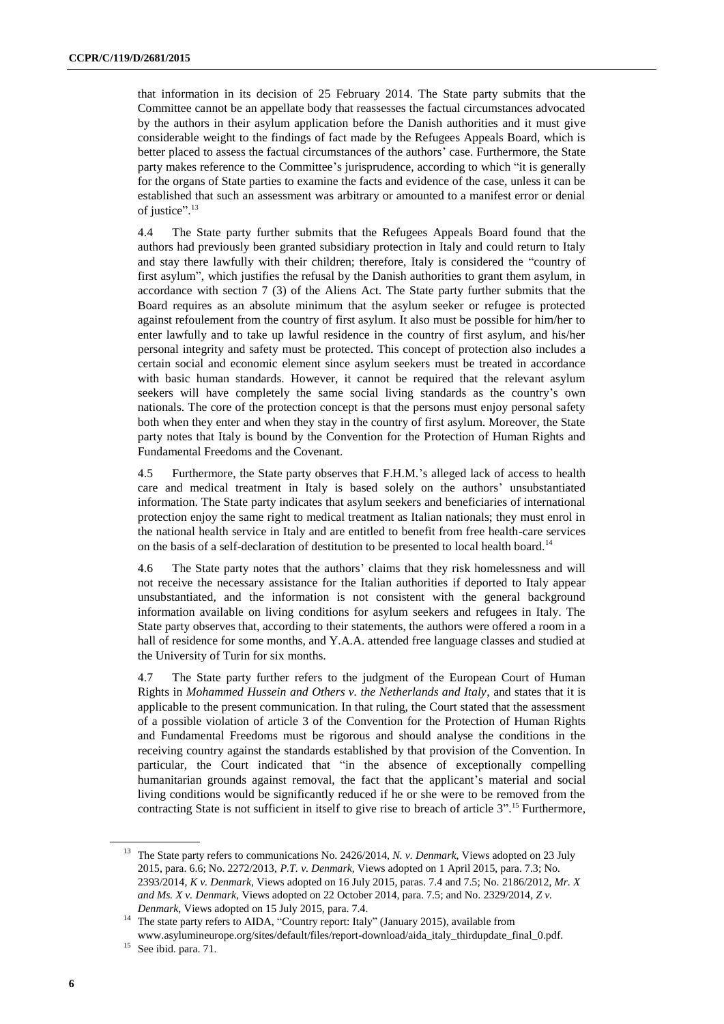that information in its decision of 25 February 2014. The State party submits that the Committee cannot be an appellate body that reassesses the factual circumstances advocated by the authors in their asylum application before the Danish authorities and it must give considerable weight to the findings of fact made by the Refugees Appeals Board, which is better placed to assess the factual circumstances of the authors' case. Furthermore, the State party makes reference to the Committee's jurisprudence, according to which "it is generally for the organs of State parties to examine the facts and evidence of the case, unless it can be established that such an assessment was arbitrary or amounted to a manifest error or denial of justice".<sup>13</sup>

4.4 The State party further submits that the Refugees Appeals Board found that the authors had previously been granted subsidiary protection in Italy and could return to Italy and stay there lawfully with their children; therefore, Italy is considered the "country of first asylum", which justifies the refusal by the Danish authorities to grant them asylum, in accordance with section 7 (3) of the Aliens Act. The State party further submits that the Board requires as an absolute minimum that the asylum seeker or refugee is protected against refoulement from the country of first asylum. It also must be possible for him/her to enter lawfully and to take up lawful residence in the country of first asylum, and his/her personal integrity and safety must be protected. This concept of protection also includes a certain social and economic element since asylum seekers must be treated in accordance with basic human standards. However, it cannot be required that the relevant asylum seekers will have completely the same social living standards as the country's own nationals. The core of the protection concept is that the persons must enjoy personal safety both when they enter and when they stay in the country of first asylum. Moreover, the State party notes that Italy is bound by the Convention for the Protection of Human Rights and Fundamental Freedoms and the Covenant.

4.5 Furthermore, the State party observes that F.H.M.'s alleged lack of access to health care and medical treatment in Italy is based solely on the authors' unsubstantiated information. The State party indicates that asylum seekers and beneficiaries of international protection enjoy the same right to medical treatment as Italian nationals; they must enrol in the national health service in Italy and are entitled to benefit from free health-care services on the basis of a self-declaration of destitution to be presented to local health board.<sup>14</sup>

4.6 The State party notes that the authors' claims that they risk homelessness and will not receive the necessary assistance for the Italian authorities if deported to Italy appear unsubstantiated, and the information is not consistent with the general background information available on living conditions for asylum seekers and refugees in Italy. The State party observes that, according to their statements, the authors were offered a room in a hall of residence for some months, and Y.A.A. attended free language classes and studied at the University of Turin for six months.

4.7 The State party further refers to the judgment of the European Court of Human Rights in *Mohammed Hussein and Others v. the Netherlands and Italy*, and states that it is applicable to the present communication. In that ruling, the Court stated that the assessment of a possible violation of article 3 of the Convention for the Protection of Human Rights and Fundamental Freedoms must be rigorous and should analyse the conditions in the receiving country against the standards established by that provision of the Convention. In particular, the Court indicated that "in the absence of exceptionally compelling humanitarian grounds against removal, the fact that the applicant's material and social living conditions would be significantly reduced if he or she were to be removed from the contracting State is not sufficient in itself to give rise to breach of article 3". <sup>15</sup> Furthermore,

<sup>&</sup>lt;sup>13</sup> The State party refers to communications No. 2426/2014, *N. v. Denmark*, Views adopted on 23 July 2015, para. 6.6; No. 2272/2013, *P.T. v. Denmark*, Views adopted on 1 April 2015, para. 7.3; No. 2393/2014, *K v. Denmark*, Views adopted on 16 July 2015, paras. 7.4 and 7.5; No. 2186/2012, *Mr. X and Ms. X v. Denmark*, Views adopted on 22 October 2014, para. 7.5; and No. 2329/2014, *Z v. Denmark*, Views adopted on 15 July 2015, para. 7.4.

<sup>&</sup>lt;sup>14</sup> The state party refers to AIDA, "Country report: Italy" (January 2015), available from [www.asylumineurope.org/sites/default/files/report-download/aida\\_italy\\_thirdupdate\\_final\\_0.pdf.](http://www.asylumineurope.org/sites/default/files/report-download/aida_italy_thirdupdate_final_0.pdf) <sup>15</sup> See ibid. para. 71.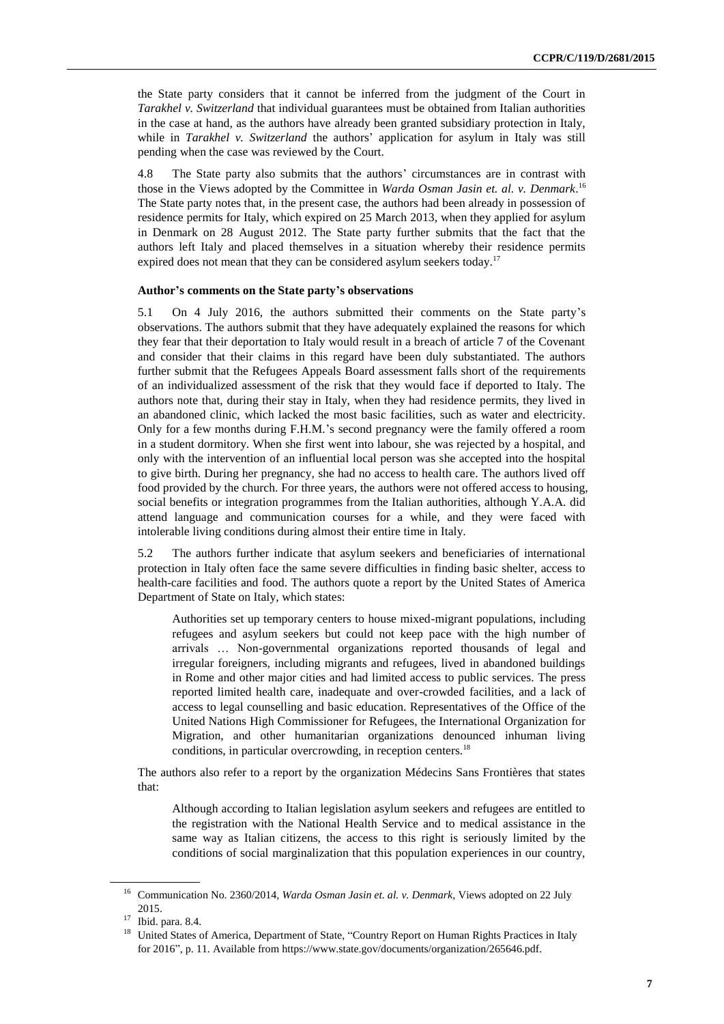the State party considers that it cannot be inferred from the judgment of the Court in *Tarakhel v. Switzerland* that individual guarantees must be obtained from Italian authorities in the case at hand, as the authors have already been granted subsidiary protection in Italy, while in *Tarakhel v. Switzerland* the authors' application for asylum in Italy was still pending when the case was reviewed by the Court.

4.8 The State party also submits that the authors' circumstances are in contrast with those in the Views adopted by the Committee in *Warda Osman Jasin et. al. v. Denmark*. 16 The State party notes that, in the present case, the authors had been already in possession of residence permits for Italy, which expired on 25 March 2013, when they applied for asylum in Denmark on 28 August 2012. The State party further submits that the fact that the authors left Italy and placed themselves in a situation whereby their residence permits expired does not mean that they can be considered asylum seekers today.<sup>17</sup>

#### **Author's comments on the State party's observations**

5.1 On 4 July 2016, the authors submitted their comments on the State party's observations. The authors submit that they have adequately explained the reasons for which they fear that their deportation to Italy would result in a breach of article 7 of the Covenant and consider that their claims in this regard have been duly substantiated. The authors further submit that the Refugees Appeals Board assessment falls short of the requirements of an individualized assessment of the risk that they would face if deported to Italy. The authors note that, during their stay in Italy, when they had residence permits, they lived in an abandoned clinic, which lacked the most basic facilities, such as water and electricity. Only for a few months during F.H.M.'s second pregnancy were the family offered a room in a student dormitory. When she first went into labour, she was rejected by a hospital, and only with the intervention of an influential local person was she accepted into the hospital to give birth. During her pregnancy, she had no access to health care. The authors lived off food provided by the church. For three years, the authors were not offered access to housing, social benefits or integration programmes from the Italian authorities, although Y.A.A. did attend language and communication courses for a while, and they were faced with intolerable living conditions during almost their entire time in Italy.

5.2 The authors further indicate that asylum seekers and beneficiaries of international protection in Italy often face the same severe difficulties in finding basic shelter, access to health-care facilities and food. The authors quote a report by the United States of America Department of State on Italy, which states:

Authorities set up temporary centers to house mixed-migrant populations, including refugees and asylum seekers but could not keep pace with the high number of arrivals … Non-governmental organizations reported thousands of legal and irregular foreigners, including migrants and refugees, lived in abandoned buildings in Rome and other major cities and had limited access to public services. The press reported limited health care, inadequate and over-crowded facilities, and a lack of access to legal counselling and basic education. Representatives of the Office of the United Nations High Commissioner for Refugees, the International Organization for Migration, and other humanitarian organizations denounced inhuman living conditions, in particular overcrowding, in reception centers. 18

The authors also refer to a report by the organization Médecins Sans Frontières that states that:

Although according to Italian legislation asylum seekers and refugees are entitled to the registration with the National Health Service and to medical assistance in the same way as Italian citizens, the access to this right is seriously limited by the conditions of social marginalization that this population experiences in our country,

<sup>16</sup> Communication No. 2360/2014, *Warda Osman Jasin et. al. v. Denmark*, Views adopted on 22 July 2015.

<sup>17</sup> Ibid. para. 8.4.

<sup>&</sup>lt;sup>18</sup> United States of America, Department of State, "Country Report on Human Rights Practices in Italy for 2016", p. 11. Available from https://www.state.gov/documents/organization/265646.pdf.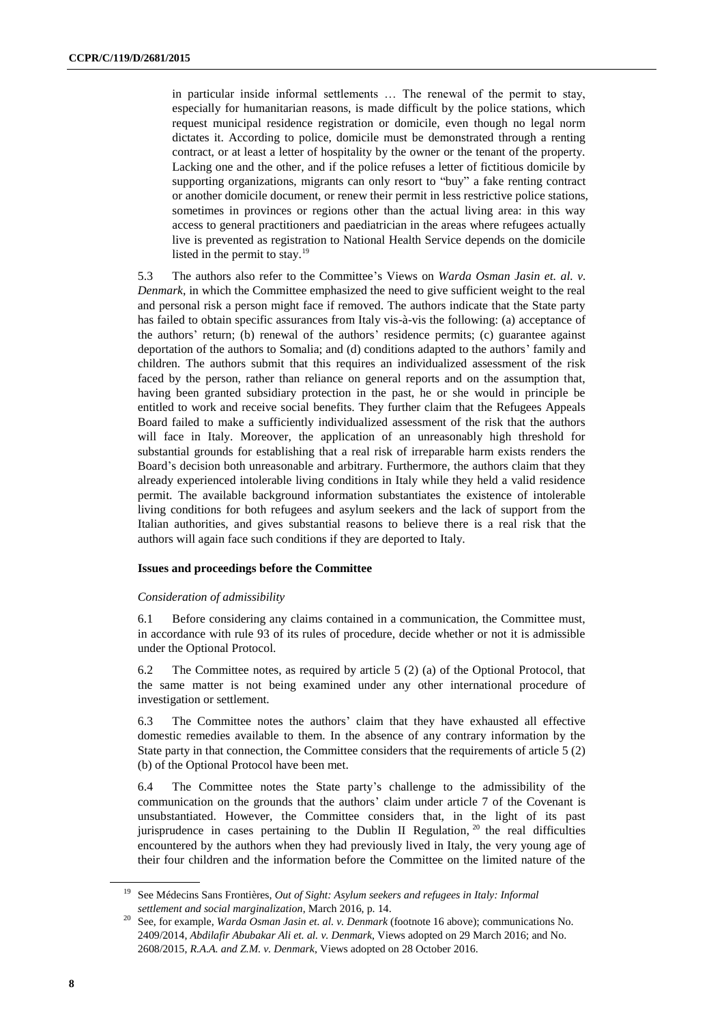in particular inside informal settlements … The renewal of the permit to stay, especially for humanitarian reasons, is made difficult by the police stations, which request municipal residence registration or domicile, even though no legal norm dictates it. According to police, domicile must be demonstrated through a renting contract, or at least a letter of hospitality by the owner or the tenant of the property. Lacking one and the other, and if the police refuses a letter of fictitious domicile by supporting organizations, migrants can only resort to "buy" a fake renting contract or another domicile document, or renew their permit in less restrictive police stations, sometimes in provinces or regions other than the actual living area: in this way access to general practitioners and paediatrician in the areas where refugees actually live is prevented as registration to National Health Service depends on the domicile listed in the permit to stay. $19$ 

5.3 The authors also refer to the Committee's Views on *Warda Osman Jasin et. al. v. Denmark*, in which the Committee emphasized the need to give sufficient weight to the real and personal risk a person might face if removed. The authors indicate that the State party has failed to obtain specific assurances from Italy vis-à-vis the following: (a) acceptance of the authors' return; (b) renewal of the authors' residence permits; (c) guarantee against deportation of the authors to Somalia; and (d) conditions adapted to the authors' family and children. The authors submit that this requires an individualized assessment of the risk faced by the person, rather than reliance on general reports and on the assumption that, having been granted subsidiary protection in the past, he or she would in principle be entitled to work and receive social benefits. They further claim that the Refugees Appeals Board failed to make a sufficiently individualized assessment of the risk that the authors will face in Italy. Moreover, the application of an unreasonably high threshold for substantial grounds for establishing that a real risk of irreparable harm exists renders the Board's decision both unreasonable and arbitrary. Furthermore, the authors claim that they already experienced intolerable living conditions in Italy while they held a valid residence permit. The available background information substantiates the existence of intolerable living conditions for both refugees and asylum seekers and the lack of support from the Italian authorities, and gives substantial reasons to believe there is a real risk that the authors will again face such conditions if they are deported to Italy.

#### **Issues and proceedings before the Committee**

#### *Consideration of admissibility*

6.1 Before considering any claims contained in a communication, the Committee must, in accordance with rule 93 of its rules of procedure, decide whether or not it is admissible under the Optional Protocol.

6.2 The Committee notes, as required by article 5 (2) (a) of the Optional Protocol, that the same matter is not being examined under any other international procedure of investigation or settlement.

6.3 The Committee notes the authors' claim that they have exhausted all effective domestic remedies available to them. In the absence of any contrary information by the State party in that connection, the Committee considers that the requirements of article 5 (2) (b) of the Optional Protocol have been met.

6.4 The Committee notes the State party's challenge to the admissibility of the communication on the grounds that the authors' claim under article 7 of the Covenant is unsubstantiated. However, the Committee considers that, in the light of its past jurisprudence in cases pertaining to the Dublin II Regulation,  $20$  the real difficulties encountered by the authors when they had previously lived in Italy, the very young age of their four children and the information before the Committee on the limited nature of the

<sup>19</sup> See Médecins Sans Frontières, *Out of Sight: Asylum seekers and refugees in Italy: Informal settlement and social marginalization*, March 2016, p. 14.

<sup>20</sup> See, for example, *Warda Osman Jasin et. al. v. Denmark* (footnote 16 above); communications No. 2409/2014, *Abdilafir Abubakar Ali et. al. v. Denmark*, Views adopted on 29 March 2016; and No. 2608/2015, *R.A.A. and Z.M. v. Denmark*, Views adopted on 28 October 2016.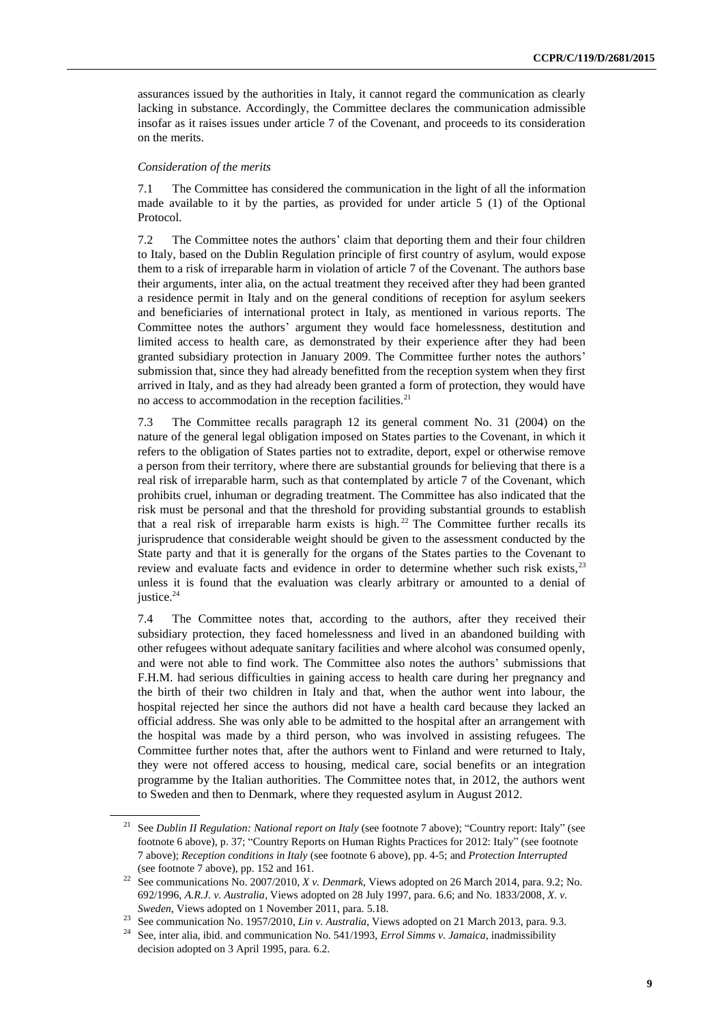assurances issued by the authorities in Italy, it cannot regard the communication as clearly lacking in substance. Accordingly, the Committee declares the communication admissible insofar as it raises issues under article 7 of the Covenant, and proceeds to its consideration on the merits.

#### *Consideration of the merits*

7.1 The Committee has considered the communication in the light of all the information made available to it by the parties, as provided for under article 5 (1) of the Optional Protocol.

7.2 The Committee notes the authors' claim that deporting them and their four children to Italy, based on the Dublin Regulation principle of first country of asylum, would expose them to a risk of irreparable harm in violation of article 7 of the Covenant. The authors base their arguments, inter alia, on the actual treatment they received after they had been granted a residence permit in Italy and on the general conditions of reception for asylum seekers and beneficiaries of international protect in Italy, as mentioned in various reports. The Committee notes the authors' argument they would face homelessness, destitution and limited access to health care, as demonstrated by their experience after they had been granted subsidiary protection in January 2009. The Committee further notes the authors' submission that, since they had already benefitted from the reception system when they first arrived in Italy, and as they had already been granted a form of protection, they would have no access to accommodation in the reception facilities. $21$ 

7.3 The Committee recalls paragraph 12 its general comment No. 31 (2004) on the nature of the general legal obligation imposed on States parties to the Covenant, in which it refers to the obligation of States parties not to extradite, deport, expel or otherwise remove a person from their territory, where there are substantial grounds for believing that there is a real risk of irreparable harm, such as that contemplated by article 7 of the Covenant, which prohibits cruel, inhuman or degrading treatment. The Committee has also indicated that the risk must be personal and that the threshold for providing substantial grounds to establish that a real risk of irreparable harm exists is high.<sup>22</sup> The Committee further recalls its jurisprudence that considerable weight should be given to the assessment conducted by the State party and that it is generally for the organs of the States parties to the Covenant to review and evaluate facts and evidence in order to determine whether such risk exists,<sup>23</sup> unless it is found that the evaluation was clearly arbitrary or amounted to a denial of justice. $24$ 

7.4 The Committee notes that, according to the authors, after they received their subsidiary protection, they faced homelessness and lived in an abandoned building with other refugees without adequate sanitary facilities and where alcohol was consumed openly, and were not able to find work. The Committee also notes the authors' submissions that F.H.M. had serious difficulties in gaining access to health care during her pregnancy and the birth of their two children in Italy and that, when the author went into labour, the hospital rejected her since the authors did not have a health card because they lacked an official address. She was only able to be admitted to the hospital after an arrangement with the hospital was made by a third person, who was involved in assisting refugees. The Committee further notes that, after the authors went to Finland and were returned to Italy, they were not offered access to housing, medical care, social benefits or an integration programme by the Italian authorities. The Committee notes that, in 2012, the authors went to Sweden and then to Denmark, where they requested asylum in August 2012.

<sup>21</sup> See *Dublin II Regulation: National report on Italy* (see footnote 7 above); "Country report: Italy" (see footnote 6 above), p. 37; "Country Reports on Human Rights Practices for 2012: Italy" (see footnote 7 above); *Reception conditions in Italy* (see footnote 6 above), pp. 4-5; and *Protection Interrupted* (see footnote 7 above), pp. 152 and 161.

<sup>22</sup> See communications No. 2007/2010, *X v. Denmark*, Views adopted on 26 March 2014, para. 9.2; No. 692/1996, *A.R.J. v. Australia*, Views adopted on 28 July 1997, para. 6.6; and No. 1833/2008, *X. v. Sweden*, Views adopted on 1 November 2011, para. 5.18.

<sup>&</sup>lt;sup>23</sup> See communication No. 1957/2010, *Lin v. Australia*, Views adopted on 21 March 2013, para. 9.3.<br><sup>24</sup> See inter alia, ibid, and communication No. 541/1003, *Ennal Simma v. Iamaica*, inedmissibility.

<sup>24</sup> See, inter alia, ibid. and communication No. 541/1993, *Errol Simms v. Jamaica*, inadmissibility decision adopted on 3 April 1995, para. 6.2.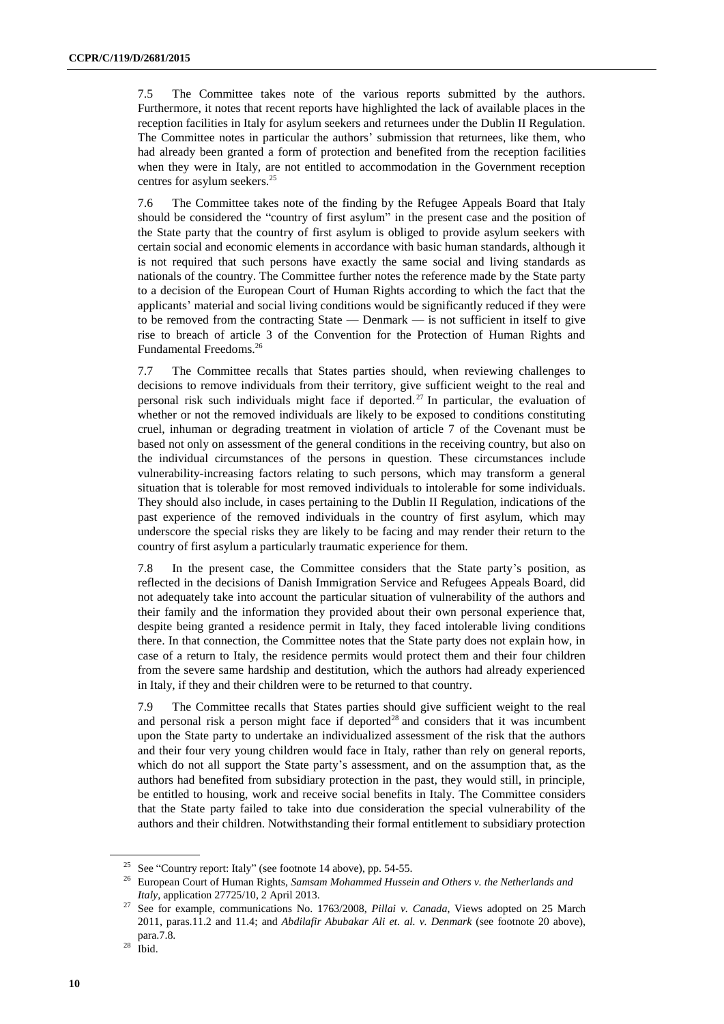7.5 The Committee takes note of the various reports submitted by the authors. Furthermore, it notes that recent reports have highlighted the lack of available places in the reception facilities in Italy for asylum seekers and returnees under the Dublin II Regulation. The Committee notes in particular the authors' submission that returnees, like them, who had already been granted a form of protection and benefited from the reception facilities when they were in Italy, are not entitled to accommodation in the Government reception centres for asylum seekers.<sup>25</sup>

7.6 The Committee takes note of the finding by the Refugee Appeals Board that Italy should be considered the "country of first asylum" in the present case and the position of the State party that the country of first asylum is obliged to provide asylum seekers with certain social and economic elements in accordance with basic human standards, although it is not required that such persons have exactly the same social and living standards as nationals of the country. The Committee further notes the reference made by the State party to a decision of the European Court of Human Rights according to which the fact that the applicants' material and social living conditions would be significantly reduced if they were to be removed from the contracting State — Denmark — is not sufficient in itself to give rise to breach of article 3 of the Convention for the Protection of Human Rights and Fundamental Freedoms.<sup>26</sup>

7.7 The Committee recalls that States parties should, when reviewing challenges to decisions to remove individuals from their territory, give sufficient weight to the real and personal risk such individuals might face if deported.<sup>27</sup> In particular, the evaluation of whether or not the removed individuals are likely to be exposed to conditions constituting cruel, inhuman or degrading treatment in violation of article 7 of the Covenant must be based not only on assessment of the general conditions in the receiving country, but also on the individual circumstances of the persons in question. These circumstances include vulnerability-increasing factors relating to such persons, which may transform a general situation that is tolerable for most removed individuals to intolerable for some individuals. They should also include, in cases pertaining to the Dublin II Regulation, indications of the past experience of the removed individuals in the country of first asylum, which may underscore the special risks they are likely to be facing and may render their return to the country of first asylum a particularly traumatic experience for them.

7.8 In the present case, the Committee considers that the State party's position, as reflected in the decisions of Danish Immigration Service and Refugees Appeals Board, did not adequately take into account the particular situation of vulnerability of the authors and their family and the information they provided about their own personal experience that, despite being granted a residence permit in Italy, they faced intolerable living conditions there. In that connection, the Committee notes that the State party does not explain how, in case of a return to Italy, the residence permits would protect them and their four children from the severe same hardship and destitution, which the authors had already experienced in Italy, if they and their children were to be returned to that country.

7.9 The Committee recalls that States parties should give sufficient weight to the real and personal risk a person might face if deported<sup>28</sup> and considers that it was incumbent upon the State party to undertake an individualized assessment of the risk that the authors and their four very young children would face in Italy, rather than rely on general reports, which do not all support the State party's assessment, and on the assumption that, as the authors had benefited from subsidiary protection in the past, they would still, in principle, be entitled to housing, work and receive social benefits in Italy. The Committee considers that the State party failed to take into due consideration the special vulnerability of the authors and their children. Notwithstanding their formal entitlement to subsidiary protection

<sup>25</sup> See "Country report: Italy" (see footnote 14 above), pp. 54-55.

<sup>26</sup> European Court of Human Rights, *Samsam Mohammed Hussein and Others v. the Netherlands and Italy*, application 27725/10, 2 April 2013.

<sup>27</sup> See for example, communications No. 1763/2008, *Pillai v. Canada*, Views adopted on 25 March 2011, paras.11.2 and 11.4; and *Abdilafir Abubakar Ali et. al. v. Denmark* (see footnote 20 above), para.7.8.

 $28$  Ibid.